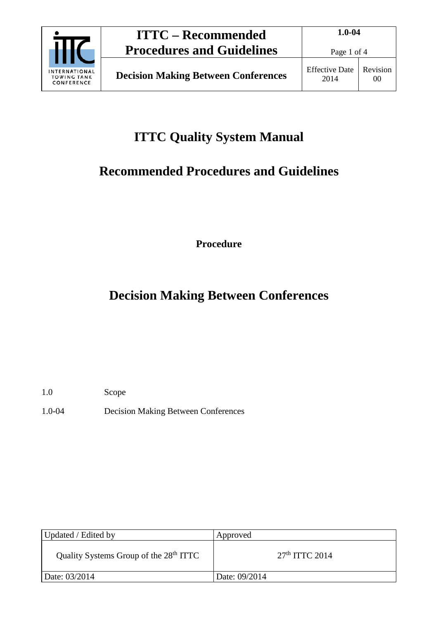

# **ITTC Quality System Manual**

# **Recommended Procedures and Guidelines**

**Procedure**

## **Decision Making Between Conferences**

1.0 Scope

1.0-04 Decision Making Between Conferences

| Updated / Edited by                                | Approved         |
|----------------------------------------------------|------------------|
| Quality Systems Group of the 28 <sup>th</sup> ITTC | $27th$ ITTC 2014 |
| Date: 03/2014                                      | Date: 09/2014    |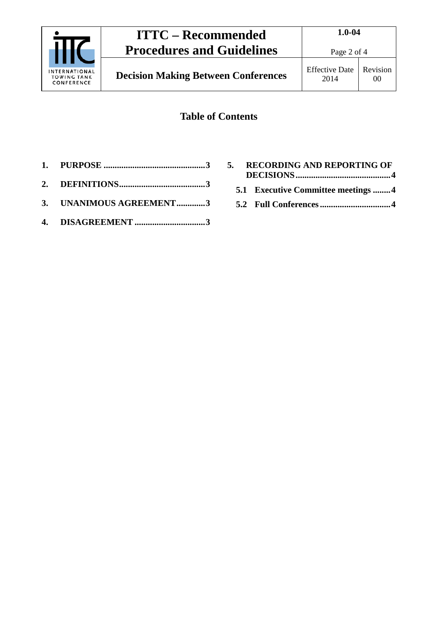

### **Table of Contents**

- **1. PURPOSE [..............................................3](#page-2-0)**
- **2. [DEFINITIONS.......................................3](#page-2-1)**
- **3. [UNANIMOUS AGREEMENT.............3](#page-2-2)**
- **4. DISAGREEMENT [................................3](#page-2-3)**

|  | 5. RECORDING AND REPORTING OF      |
|--|------------------------------------|
|  | 5.1 Executive Committee meetings 4 |
|  |                                    |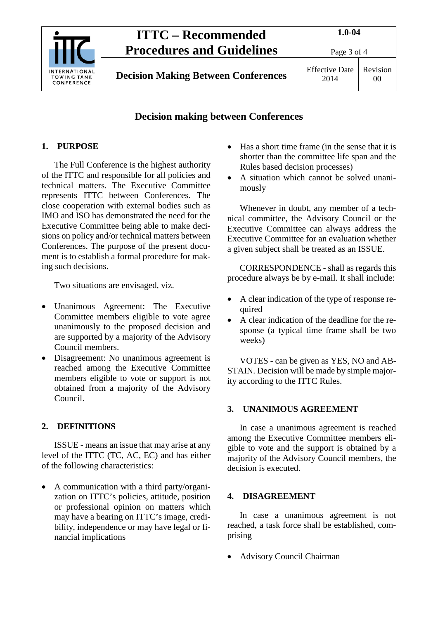

#### **Decision making between Conferences**

#### <span id="page-2-0"></span>**1. PURPOSE**

The Full Conference is the highest authority of the ITTC and responsible for all policies and technical matters. The Executive Committee represents ITTC between Conferences. The close cooperation with external bodies such as IMO and ISO has demonstrated the need for the Executive Committee being able to make decisions on policy and/or technical matters between Conferences. The purpose of the present document is to establish a formal procedure for making such decisions.

Two situations are envisaged, viz.

- Unanimous Agreement: The Executive Committee members eligible to vote agree unanimously to the proposed decision and are supported by a majority of the Advisory Council members.
- Disagreement: No unanimous agreement is reached among the Executive Committee members eligible to vote or support is not obtained from a majority of the Advisory Council.

#### <span id="page-2-1"></span>**2. DEFINITIONS**

ISSUE - means an issue that may arise at any level of the ITTC (TC, AC, EC) and has either of the following characteristics:

• A communication with a third party/organization on ITTC's policies, attitude, position or professional opinion on matters which may have a bearing on ITTC's image, credibility, independence or may have legal or financial implications

- Has a short time frame (in the sense that it is shorter than the committee life span and the Rules based decision processes)
- A situation which cannot be solved unanimously

Whenever in doubt, any member of a technical committee, the Advisory Council or the Executive Committee can always address the Executive Committee for an evaluation whether a given subject shall be treated as an ISSUE.

CORRESPONDENCE - shall as regards this procedure always be by e-mail. It shall include:

- A clear indication of the type of response required
- A clear indication of the deadline for the response (a typical time frame shall be two weeks)

VOTES - can be given as YES, NO and AB-STAIN. Decision will be made by simple majority according to the ITTC Rules.

#### <span id="page-2-2"></span>**3. UNANIMOUS AGREEMENT**

In case a unanimous agreement is reached among the Executive Committee members eligible to vote and the support is obtained by a majority of the Advisory Council members, the decision is executed.

#### <span id="page-2-3"></span>**4. DISAGREEMENT**

In case a unanimous agreement is not reached, a task force shall be established, comprising

• Advisory Council Chairman